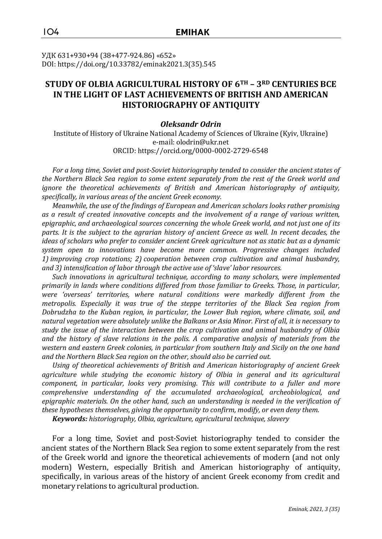УДК 631+930+94 (38+477-924.86) «652» DOI: https://doi.org/10.33782/eminak2021.3(35).545

# **STUDY OF OLBIA AGRICULTURAL HISTORY OF 6TH – 3RD CENTURIES BCE IN THE LIGHT OF LAST ACHIEVEMENTS OF BRITISH AND AMERICAN HISTORIOGRAPHY OF ANTIQUITY**

### *Oleksandr Odrin*

Institute of History of Ukraine National Academy of Sciences of Ukraine (Kyiv, Ukraine) e-mail: olodrin@ukr.net ORCID: https://orcid.org/0000-0002-2729-6548

*For a long time, Soviet and post-Soviet historiography tended to consider the ancient states of the Northern Black Sea region to some extent separately from the rest of the Greek world and ignore the theoretical achievements of British and American historiography of antiquity, specifically, in various areas of the ancient Greek economy.*

*Meanwhile, the use of the findings of European and American scholars looks rather promising as a result of created innovative concepts and the involvement of a range of various written, epigraphic, and archaeological sources concerning the whole Greek world, and not just one of its*  parts. It is the subject to the agrarian history of ancient Greece as well. In recent decades, the *ideas of scholars who prefer to consider ancient Greek agriculture not as static but as a dynamic system open to innovations have become more common. Progressive changes included 1) improving crop rotations; 2) cooperation between crop cultivation and animal husbandry, and 3) intensification of labor through the active use of 'slave' labor resources.*

*Such innovations in agricultural technique, according to many scholars, were implemented primarily in lands where conditions differed from those familiar to Greeks. Those, in particular, were 'overseas' territories, where natural conditions were markedly different from the metropolis. Especially it was true of the steppe territories of the Black Sea region from Dobrudzha to the Kuban region, in particular, the Lower Buh region, where climate, soil, and natural vegetation were absolutely unlike the Balkans or Asia Minor. First of all, it is necessary to study the issue of the interaction between the crop cultivation and animal husbandry of Olbia and the history of slave relations in the polis. A comparative analysis of materials from the western and eastern Greek colonies, in particular from southern Italy and Sicily on the one hand and the Northern Black Sea region on the other, should also be carried out.*

*Using of theoretical achievements of British and American historiography of ancient Greek*  agriculture while studying the economic history of Olbia in general and its agricultural *component, in particular, looks very promising. This will contribute to a fuller and more comprehensive understanding of the accumulated archaeological, archeobiological, and epigraphic materials. On the other hand, such an understanding is needed in the verification of these hypotheses themselves, giving the opportunity to confirm, modify, or even deny them.*

*Keywords: historiography, Olbia, agriculture, agricultural technique, slavery*

For a long time, Soviet and post-Soviet historiography tended to consider the ancient states of the Northern Black Sea region to some extent separately from the rest of the Greek world and ignore the theoretical achievements of modern (and not only modern) Western, especially British and American historiography of antiquity, specifically, in various areas of the history of ancient Greek economy from credit and monetary relations to agricultural production.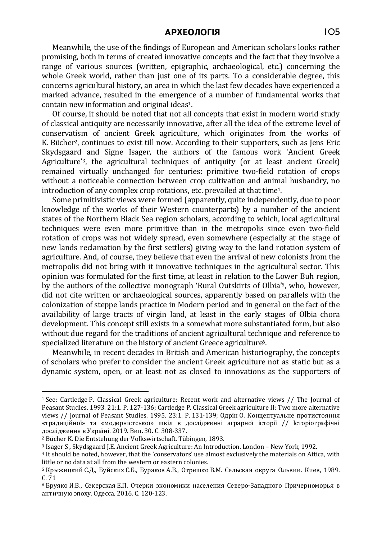Meanwhile, the use of the findings of European and American scholars looks rather promising, both in terms of created innovative concepts and the fact that they involve a range of various sources (written, epigraphic, archaeological, etc.) concerning the whole Greek world, rather than just one of its parts. To a considerable degree, this concerns agricultural history, an area in which the last few decades have experienced a marked advance, resulted in the emergence of a number of fundamental works that contain new information and original ideas1.

Of course, it should be noted that not all concepts that exist in modern world study of classical antiquity are necessarily innovative, after all the idea of the extreme level of conservatism of ancient Greek agriculture, which originates from the works of K. Bücher<sup>2</sup>, continues to exist till now. According to their supporters, such as Jens Eric Skydsgaard and Signe Isager, the authors of the famous work 'Ancient Greek Agriculture'3, the agricultural techniques of antiquity (or at least ancient Greek) remained virtually unchanged for centuries: primitive two-field rotation of crops without a noticeable connection between crop cultivation and animal husbandry, no introduction of any complex crop rotations, etc. prevailed at that time4.

Some primitivistic views were formed (apparently, quite independently, due to poor knowledge of the works of their Western counterparts) by a number of the ancient states of the Northern Black Sea region scholars, according to which, local agricultural techniques were even more primitive than in the metropolis since even two-field rotation of crops was not widely spread, even somewhere (especially at the stage of new lands reclamation by the first settlers) giving way to the land rotation system of agriculture. And, of course, they believe that even the arrival of new colonists from the metropolis did not bring with it innovative techniques in the agricultural sector. This opinion was formulated for the first time, at least in relation to the Lower Buh region, by the authors of the collective monograph 'Rural Outskirts of Olbia'5, who, however, did not cite written or archaeological sources, apparently based on parallels with the colonization of steppe lands practice in Modern period and in general on the fact of the availability of large tracts of virgin land, at least in the early stages of Olbia chora development. This concept still exists in a somewhat more substantiated form, but also without due regard for the traditions of ancient agricultural technique and reference to specialized literature on the history of ancient Greece agriculture<sup>6</sup>.

Meanwhile, in recent decades in British and American historiography, the concepts of scholars who prefer to consider the ancient Greek agriculture not as static but as a dynamic system, open, or at least not as closed to innovations as the supporters of

<sup>1</sup> See: Cartledge P. Classical Greek agriculture: Recent work and alternative views // The Journal of Peasant Studies. 1993. 21:1. P. 127-136; Cartledge P. Classical Greek agriculture II: Two more alternative views // Journal of Peasant Studies. 1995. 23:1. P. 131-139; Одрін О. Концептуальне протистояння «традиційної» та «модерністської» шкіл в дослідженні аграрної історії // Історіографічні дослідження в Україні. 2019. Вип. 30. С. 308-337.

<sup>2</sup> Bücher K. Die Entstehung der Volkswirtschaft. Tübingen, 1893.

<sup>3</sup> Isager S., Skydsgaard J.E. Ancient Greek Agriculture: An Introduction. London – New York, 1992.

<sup>4</sup> It should be noted, however, that the 'conservators' use almost exclusively the materials on Attica, with little or no data at all from the western or eastern colonies.

<sup>5</sup> Крыжицкий С.Д., Буйских С.Б., Бураков А.В., Отрешко В.М. Сельская округа Ольвии. Киев, 1989. С. 71

<sup>6</sup> Бруяко И.В., Секерская Е.П. Очерки экономики населения Северо-Западного Причерноморья в античную эпоху. Одесса, 2016. С. 120-123.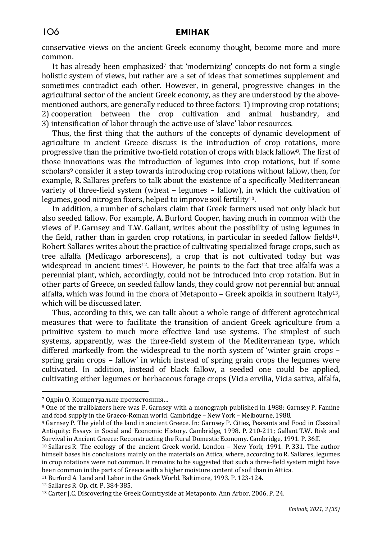conservative views on the ancient Greek economy thought, become more and more common.

It has already been emphasized<sup>7</sup> that 'modernizing' concepts do not form a single holistic system of views, but rather are a set of ideas that sometimes supplement and sometimes contradict each other. However, in general, progressive changes in the agricultural sector of the ancient Greek economy, as they are understood by the abovementioned authors, are generally reduced to three factors: 1) improving crop rotations; 2) cooperation between the crop cultivation and animal husbandry, and 3) intensification of labor through the active use of 'slave' labor resources.

Thus, the first thing that the authors of the concepts of dynamic development of agriculture in ancient Greece discuss is the introduction of crop rotations, more progressive than the primitive two-field rotation of crops with black fallow<sup>8</sup>. The first of those innovations was the introduction of legumes into crop rotations, but if some scholars<sup>9</sup> consider it a step towards introducing crop rotations without fallow, then, for example, R. Sallares prefers to talk about the existence of a specifically Mediterranean variety of three-field system (wheat – legumes – fallow), in which the cultivation of legumes, good nitrogen fixers, helped to improve soil fertility<sup>10</sup>.

In addition, a number of scholars claim that Greek farmers used not only black but also seeded fallow. For example, A. Burford Cooper, having much in common with the views of P. Garnsey and T.W. Gallant, writes about the possibility of using legumes in the field, rather than in garden crop rotations, in particular in seeded fallow fields11. Robert Sallares writes about the practice of cultivating specialized forage crops, such as tree alfalfa (Medicago arborescens), a crop that is not cultivated today but was widespread in ancient times<sup>12</sup>. However, he points to the fact that tree alfalfa was a perennial plant, which, accordingly, could not be introduced into crop rotation. But in other parts of Greece, on seeded fallow lands, they could grow not perennial but annual alfalfa, which was found in the chora of Metaponto  $-$  Greek apoikia in southern Italy<sup>13</sup>, which will be discussed later.

Thus, according to this, we can talk about a whole range of different agrotechnical measures that were to facilitate the transition of ancient Greek agriculture from a primitive system to much more effective land use systems. The simplest of such systems, apparently, was the three-field system of the Mediterranean type, which differed markedly from the widespread to the north system of 'winter grain crops – spring grain crops – fallow' in which instead of spring grain crops the legumes were cultivated. In addition, instead of black fallow, a seeded one could be applied, cultivating either legumes or herbaceous forage crops (Vicia ervilia, Vicia sativa, alfalfa,

<sup>11</sup> Burford A. Land and Labor in the Greek World. Baltimore, 1993. P. 123-124.

<sup>7</sup> Одрін О. Концептуальне протистояння…

<sup>8</sup> One of the trailblazers here was P. Garnsey with a monograph published in 1988: Garnsey P. Famine and food supply in the Graeco-Roman world. Cambridge – New York – Melbourne, 1988.

<sup>9</sup> Garnsey P. The yield of the land in ancient Greece. In: Garnsey P. Cities, Peasants and Food in Classical Antiquity: Essays in Social and Economic History. Cambridge, 1998. P. 210-211; Gallant T.W. Risk and Survival in Ancient Greece: Reconstructing the Rural Domestic Economy. Cambridge, 1991. P. 36ff.

<sup>10</sup> Sallares R. The ecology of the ancient Greek world. London – New York, 1991. P. 331. The author himself bases his conclusions mainly on the materials on Attica, where, according to R. Sallares, legumes in crop rotations were not common. It remains to be suggested that such a three-field system might have been common in the parts of Greece with a higher moisture content of soil than in Attica.

<sup>12</sup> Sallares R. Op. cit. P. 384-385.

<sup>13</sup> Carter J.C. Discovering the Greek Countryside at Metaponto. Ann Arbor, 2006. P. 24.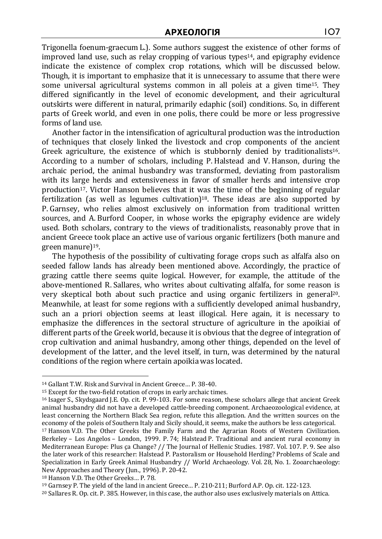Trigonella foenum-graecum L.). Some authors suggest the existence of other forms of improved land use, such as relay cropping of various types<sup>14</sup>, and epigraphy evidence indicate the existence of complex crop rotations, which will be discussed below. Though, it is important to emphasize that it is unnecessary to assume that there were some universal agricultural systems common in all poleis at a given time15. They differed significantly in the level of economic development, and their agricultural outskirts were different in natural, primarily edaphic (soil) conditions. So, in different parts of Greek world, and even in one polis, there could be more or less progressive forms of land use.

Another factor in the intensification of agricultural production was the introduction of techniques that closely linked the livestock and crop components of the ancient Greek agriculture, the existence of which is stubbornly denied by traditionalists<sup>16</sup>. According to a number of scholars, including P. Halstead and V. Hanson, during the archaic period, the animal husbandry was transformed, deviating from pastoralism with its large herds and extensiveness in favor of smaller herds and intensive crop production17. Victor Hanson believes that it was the time of the beginning of regular fertilization (as well as legumes cultivation)<sup>18</sup>. These ideas are also supported by P. Garnsey, who relies almost exclusively on information from traditional written sources, and A. Burford Cooper, in whose works the epigraphy evidence are widely used. Both scholars, contrary to the views of traditionalists, reasonably prove that in ancient Greece took place an active use of various organic fertilizers (both manure and green manure)19.

The hypothesis of the possibility of cultivating forage crops such as alfalfa also on seeded fallow lands has already been mentioned above. Accordingly, the practice of grazing cattle there seems quite logical. However, for example, the attitude of the above-mentioned R. Sallares, who writes about cultivating alfalfa, for some reason is very skeptical both about such practice and using organic fertilizers in general20. Meanwhile, at least for some regions with a sufficiently developed animal husbandry, such an a priori objection seems at least illogical. Here again, it is necessary to emphasize the differences in the sectoral structure of agriculture in the apoikiai of different parts of the Greek world, because it is obvious that the degree of integration of crop cultivation and animal husbandry, among other things, depended on the level of development of the latter, and the level itself, in turn, was determined by the natural conditions of the region where certain apoikia was located.

<sup>14</sup> Gallant T.W. Risk and Survival in Ancient Greece… P. 38-40.

<sup>15</sup> Except for the two-field rotation of crops in early archaic times.

<sup>16</sup> Isager S., Skydsgaard J.E. Op. cit. P. 99-103. For some reason, these scholars allege that ancient Greek animal husbandry did not have a developed cattle-breeding component. Archaeozoological evidence, at least concerning the Northern Black Sea region, refute this allegation. And the written sources on the economy of the poleis of Southern Italy and Sicily should, it seems, make the authors be less categorical. <sup>17</sup> Hanson V.D. The Other Greeks the Family Farm and the Agrarian Roots of Western Civilization.

Berkeley – Los Angelos – London, 1999. P. 74; Halstead P. Traditional and ancient rural economy in Mediterranean Europe: Plus ça Change? // The Journal of Hellenic Studies. 1987. Vol. 107. P. 9. See also the later work of this researcher: Halstead P. Pastoralism or Household Herding? Problems of Scale and Specialization in Early Greek Animal Husbandry // World Archaeology. Vol. 28, No. 1. Zooarchaeology: New Approaches and Theory (Jun., 1996). P. 20-42.

<sup>18</sup> Hanson V.D. The Other Greeks… P. 78.

<sup>19</sup> Garnsey P. The yield of the land in ancient Greece… P. 210-211; Burford A.P. Op. cit. 122-123.

<sup>20</sup> Sallares R. Op. cit. P. 385. However, in this case, the author also uses exclusively materials on Attica.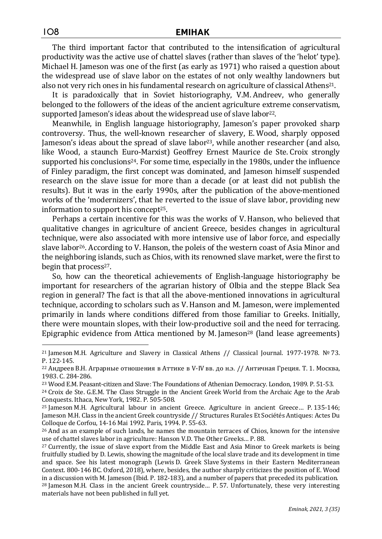The third important factor that contributed to the intensification of agricultural productivity was the active use of chattel slaves (rather than slaves of the 'helot' type). Michael H. Jameson was one of the first (as early as 1971) who raised a question about the widespread use of slave labor on the estates of not only wealthy landowners but also not very rich ones in his fundamental research on agriculture of classical Athens<sup>21</sup>.

It is paradoxically that in Soviet historiography, V.M. Andreev, who generally belonged to the followers of the ideas of the ancient agriculture extreme conservatism, supported Jameson's ideas about the widespread use of slave labor<sup>22</sup>.

Meanwhile, in English language historiography, Jameson's paper provoked sharp controversy. Thus, the well-known researcher of slavery, E. Wood, sharply opposed Jameson's ideas about the spread of slave labor<sup>23</sup>, while another researcher (and also, like Wood, a staunch Euro-Marxist) Geoffrey Ernest Maurice de Ste. Croix strongly supported his conclusions<sup>24</sup>. For some time, especially in the 1980s, under the influence of Finley paradigm, the first concept was dominated, and Jameson himself suspended research on the slave issue for more than a decade (or at least did not publish the results). But it was in the early 1990s, after the publication of the above-mentioned works of the 'modernizers', that he reverted to the issue of slave labor, providing new information to support his concept25.

Perhaps a certain incentive for this was the works of V. Hanson, who believed that qualitative changes in agriculture of ancient Greece, besides changes in agricultural technique, were also associated with more intensive use of labor force, and especially slave labor26. According to V. Hanson, the poleis of the western coast of Asia Minor and the neighboring islands, such as Chios, with its renowned slave market, were the first to begin that process<sup>27</sup>.

So, how can the theoretical achievements of English-language historiography be important for researchers of the agrarian history of Olbia and the steppe Black Sea region in general? The fact is that all the above-mentioned innovations in agricultural technique, according to scholars such as V.Hanson and M. Jameson, were implemented primarily in lands where conditions differed from those familiar to Greeks. Initially, there were mountain slopes, with their low-productive soil and the need for terracing. Epigraphic evidence from Attica mentioned by M. Jameson<sup>28</sup> (land lease agreements)

<sup>28</sup> Jameson M.H. Class in the ancient Greek countryside… P. 57. Unfortunately, these very interesting materials have not been published in full yet.

<sup>21</sup> Jameson M.H. Agriculture and Slavery in Classical Athens // Classical Journal. 1977-1978. № 73. P. 122-145.

<sup>22</sup> Андреев В.Н. Аграрные отношения в Аттике в V-IV вв. до н.э. // Античная Греция. Т. 1. Москва, 1983. С. 284-286.

<sup>23</sup> Wood E.M. Peasant-citizen and Slave: The Foundations of Athenian Democracy. London, 1989. P. 51-53.

<sup>24</sup> Croix de Ste. G.E.M. The Class Struggle in the Ancient Greek World from the Archaic Age to the Arab Conquests. Ithaca, New York, 1982. P. 505-508.

<sup>25</sup> Jameson M.H. Agricultural labour in ancient Greece. Agriculture in ancient Greece… P. 135-146; Jameson M.H. Class in the ancient Greek countryside // Structures Rurales Et Sociétés Antiques: Actes Du Colloque de Corfou, 14-16 Mai 1992. Paris, 1994. P. 55-63.

<sup>&</sup>lt;sup>26</sup> And as an example of such lands, he names the mountain terraces of Chios, known for the intensive use of chattel slaves labor in agriculture: Hanson V.D. The Other Greeks… P. 88.

<sup>27</sup> Currently, the issue of slave export from the Middle East and Asia Minor to Greek markets is being fruitfully studied by D. Lewis, showing the magnitude of the local slave trade and its development in time and space. See his latest monograph (Lewis D. Greek Slave Systems in their Eastern Mediterranean Context. 800-146 BC. Oxford, 2018), where, besides, the author sharply criticizes the position of E. Wood in a discussion with M. Jameson (Ibid. P. 182-183), and a number of papers that preceded its publication.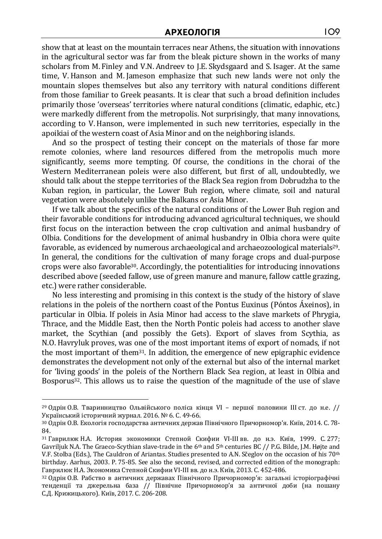show that at least on the mountain terraces near Athens, the situation with innovations in the agricultural sector was far from the bleak picture shown in the works of many scholars from M. Finley and V.N. Andreev to J.E. Skydsgaard and S. Isager. At the same time, V.Hanson and M. Jameson emphasize that such new lands were not only the mountain slopes themselves but also any territory with natural conditions different from those familiar to Greek peasants. It is clear that such a broad definition includes primarily those 'overseas' territories where natural conditions (climatic, edaphic, etc.) were markedly different from the metropolis. Not surprisingly, that many innovations, according to V.Hanson, were implemented in such new territories, especially in the apoikiai of the western coast of Asia Minor and on the neighboring islands.

And so the prospect of testing their concept on the materials of those far more remote colonies, where land resources differed from the metropolis much more significantly, seems more tempting. Of course, the conditions in the chorai of the Western Mediterranean poleis were also different, but first of all, undoubtedly, we should talk about the steppe territories of the Black Sea region from Dobrudzha to the Kuban region, in particular, the Lower Buh region, where climate, soil and natural vegetation were absolutely unlike the Balkans or Asia Minor.

If we talk about the specifics of the natural conditions of the Lower Buh region and their favorable conditions for introducing advanced agricultural techniques, we should first focus on the interaction between the crop cultivation and animal husbandry of Olbia. Conditions for the development of animal husbandry in Olbia chora were quite favorable, as evidenced by numerous archaeological and archaeozoological materials29. In general, the conditions for the cultivation of many forage crops and dual-purpose crops were also favorable30. Accordingly, the potentialities for introducing innovations described above (seeded fallow, use of green manure and manure, fallow cattle grazing, etc.) were rather considerable.

No less interesting and promising in this context is the study of the history of slave relations in the poleis of the northern coast of the Pontus Euxinus (Póntos Áxeinos), in particular in Olbia. If poleis in Asia Minor had access to the slave markets of Phrygia, Thrace, and the Middle East, then the North Pontic poleis had access to another slave market, the Scythian (and possibly the Gets). Export of slaves from Scythia, as N.O. Havryluk proves, was one of the most important items of export of nomads, if not the most important of them31. In addition, the emergence of new epigraphic evidence demonstrates the development not only of the external but also of the internal market for 'living goods' in the poleis of the Northern Black Sea region, at least in Olbia and Bosporus32. This allows us to raise the question of the magnitude of the use of slave

<sup>29</sup> Одрін О.В. Тваринництво Ольвійського поліса кінця VІ – першої половини ІІІ ст. до н.е. // Український історичний журнал. 2016. № 6. С. 49-66.

<sup>30</sup> Одрін О.В. Екологія господарства античних держав Північного Причорномор'я. Київ, 2014. С. 78- 84.

<sup>31</sup> Гаврилюк Н.А. История экономики Степной Скифии VI-III вв. до н.э. Київ, 1999. С. 277; Gavriljuk N.A. The Graeco-Scythian slave-trade in the 6<sup>th</sup> and 5<sup>th</sup> centuries BC // P.G. Bilde, J.M. Højte and V.F. Stolba (Eds.), The Cauldron of Ariantas. Studies presented to A.N. Sčeglov on the occasion of his 70<sup>th</sup> birthday. Aarhus, 2003. P. 75-85. See also the second, revised, and corrected edition of the monograph: Гаврилюк Н.А. Экономика Степной Скифии VI-III вв. до н.э. Київ, 2013. С. 452-486.

<sup>32</sup> Одрін О.В. Рабство в античних державах Північного Причорномор'я: загальні історіографічні тенденції та джерельна база // Північне Причорномор'я за античної доби (на пошану С.Д. Крижицького). Київ, 2017. С. 206-208.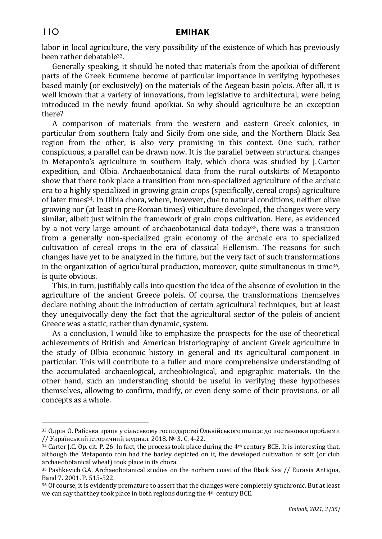labor in local agriculture, the very possibility of the existence of which has previously been rather debatable33.

Generally speaking, it should be noted that materials from the apoikiai of different parts of the Greek Ecumene become of particular importance in verifying hypotheses based mainly (or exclusively) on the materials of the Aegean basin poleis. After all, it is well known that a variety of innovations, from legislative to architectural, were being introduced in the newly found apoikiai. So why should agriculture be an exception there?

A comparison of materials from the western and eastern Greek colonies, in particular from southern Italy and Sicily from one side, and the Northern Black Sea region from the other, is also very promising in this context. One such, rather conspicuous, a parallel can be drawn now. It is the parallel between structural changes in Metaponto's agriculture in southern Italy, which chora was studied by J. Carter expedition, and Olbia. Archaeobotanical data from the rural outskirts of Metaponto show that there took place a transition from non-specialized agriculture of the archaic era to a highly specialized in growing grain crops (specifically, cereal crops) agriculture of later times34. In Olbia chora, where, however, due to natural conditions, neither olive growing nor (at least in pre-Roman times) viticulture developed, the changes were very similar, albeit just within the framework of grain crops cultivation. Here, as evidenced by a not very large amount of archaeobotanical data today<sup>35</sup>, there was a transition from a generally non-specialized grain economy of the archaic era to specialized cultivation of cereal crops in the era of classical Hellenism. The reasons for such changes have yet to be analyzed in the future, but the very fact of such transformations in the organization of agricultural production, moreover, quite simultaneous in time $36$ , is quite obvious.

This, in turn, justifiably calls into question the idea of the absence of evolution in the agriculture of the ancient Greece poleis. Of course, the transformations themselves declare nothing about the introduction of certain agricultural techniques, but at least they unequivocally deny the fact that the agricultural sector of the poleis of ancient Greece was a static, rather than dynamic, system.

As a conclusion, I would like to emphasize the prospects for the use of theoretical achievements of British and American historiography of ancient Greek agriculture in the study of Olbia economic history in general and its agricultural component in particular. This will contribute to a fuller and more comprehensive understanding of the accumulated archaeological, archeobiological, and epigraphic materials. On the other hand, such an understanding should be useful in verifying these hypotheses themselves, allowing to confirm, modify, or even deny some of their provisions, or all concepts as a whole.

<sup>33</sup> Одрін О. Рабська праця у сільському господарстві Ольвійського поліса: до постановки проблеми // Український історичний журнал. 2018. № 3. C. 4-22.

<sup>34</sup> Carter J.C. Op. cit. P. 26. In fact, the process took place during the 4th century BCE. It is interesting that, although the Metaponto coin had the barley depicted on it, the developed cultivation of soft (or club archaeobotanical wheat) took place in its chora.

<sup>35</sup> Pashkevich G.A. Archaeobotanical studies on the norhern coast of the Black Sea // Eurasia Antiqua, Band 7. 2001. P. 515-522.

<sup>36</sup> Of course, it is evidently premature to assert that the changes were completely synchronic. But at least we can say that they took place in both regions during the 4th century BCE.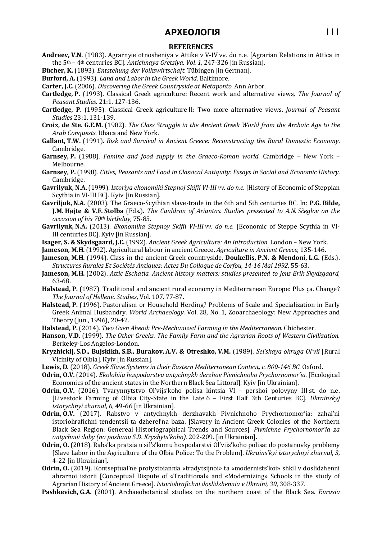## **АРХЕОЛОГІЯ** 111

#### **REFERENCES**

- **Andreev, V.N.** (1983). Agrarnyie otnosheniya v Attike v V-IV vv. do n.e. [Agrarian Relations in Attica in the 5th – 4th centuries BC]. *Antichnaya Gretsiya, Vol. 1,* 247-326 [in Russian].
- **Bücher, K.** (1893). *Entstehung der Volkswirtschaft*. Tübingen [in German].

**Burford, A.** (1993). *Land and Labor in the Greek World*. Baltimore.

- **Carter, J.C.** (2006). *Discovering the Greek Countryside at Metaponto*. Ann Arbor.
- **Cartledge, P.** (1993). Classical Greek agriculture: Recent work and alternative views, *The Journal of Peasant Studies.* 21:1. 127-136.
- **Cartledge, P.** (1995). Classical Greek agriculture II: Two more alternative views. *Journal of Peasant Studies* 23:1. 131-139.
- **Croix, de Ste. G.E.M.** (1982). *The Class Struggle in the Ancient Greek World from the Archaic Age to the Arab Conquests*. Ithaca and New York.
- **Gallant, T.W.** (1991). *Risk and Survival in Ancient Greece: Reconstructing the Rural Domestic Economy*. Cambridge.
- **Garnsey, P.** (1988). *Famine and food supply in the Graeco-Roman world*. Cambridge New York Melbourne.
- **Garnsey, P.** (1998). *Cities, Peasants and Food in Classical Antiquity: Essays in Social and Economic History*. Cambridge.
- **Gavrilyuk, N.A.** (1999). *Istoriya ekonomiki Stepnoj Skifii VI-III vv. do n.e.* [History of Economic of Steppian Scythia in VI-III BC]. Kyiv [in Russian].
- **Gavriljuk, N.A.** (2003). The Graeco-Scythian slave-trade in the 6th and 5th centuries BC. In: **P.G. Bilde, J.M. Højte & V.F. Stolba** (Eds.). *The Cauldron of Ariantas. Studies presented to A.N. Sčeglov on the occasion of his 70th birthday*, 75-85.
- **Gavrilyuk, N.A.** (2013). *Ekonomika Stepnoy Skifii VI-III vv. do n.e.* [Economic of Steppe Scythia in VI-III centuries BC]. Kyiv [in Russian].
- **Isager, S. & Skydsgaard, J.E.** (1992). *Ancient Greek Agriculture: An Introduction*. London New York.
- **Jameson, M.H.** (1992). Agricultural labour in ancient Greece. *Agriculture in Ancient Greece,* 135-146.
- **Jameson, M.H.** (1994). Class in the ancient Greek countryside. **Doukellis, P.N. & Mendoni, L.G.** (Eds.). *Structures Rurales Et Sociétés Antiques: Actes Du Colloque de Corfou, 14-16 Mai 1992,* 55-63.
- **Jameson, M.H.** (2002). *Attic Eschatia. Ancient history matters: studies presented to Jens Erik Skydsgaard,*  63-68.
- **Halstead, P.** (1987). Traditional and ancient rural economy in Mediterranean Europe: Plus ça. Change? *The Journal of Hellenic Studies*, Vol. 107. 77-87.
- **Halstead, P.** (1996). Pastoralism or Household Herding? Problems of Scale and Specialization in Early Greek Animal Husbandry. *World Archaeology*. Vol. 28, No. 1, Zooarchaeology: New Approaches and Theory (Jun., 1996), 20-42.
- **Halstead, P.** (2014). *Two Oxen Ahead: Pre-Mechanized Farming in the Mediterranean*. Chichester.
- **Hanson, V.D.** (1999). *The Other Greeks. The Family Farm and the Agrarian Roots of Western Civilization*. Berkeley-Los Angelos-London.
- **Kryzhickij, S.D., Bujskikh, S.B., Burakov, A.V. & Otreshko, V.M.** (1989). *Sel'skaya okruga Ol'vii* [Rural Vicinity of Olbia]. Кyiv [in Russian].
- **Lewis, D***.* (2018). *Greek Slave Systems in their Eastern Mediterranean Context, c. 800-146 BC*. Oxford.
- **Odrin, O.V.** (2014). *Ekolohiia hospodarstva antychnykh derzhav Pivnichnoho Prychornomor'ia*. [Ecological Economics of the ancient states in the Northern Black Sea Littoral]. Kyiv [in Ukrainian].
- **Odrin, O.V.** (2016). Tvarynnytstvo Ol'vijs'koho polisa kintsia VI pershoi polovyny III st. do n.e. [Livestock Farming of Olbia City-State in the Late 6 – First Half 3th Centuries BC]. *Ukrainskyj istorychnyi zhurnal*, *6*, 49-66 [in Ukrainian].
- **Odrin, O.V.** (2017). Rabstvo v antychnykh derzhavakh Pivnichnoho Prychornomor'ia: zahal'ni istoriohrafichni tendentsii ta dzherel'na baza. [Slavery in Ancient Greek Colonies of the Northern Black Sea Region: Genereal Historiographical Trends and Sources]. *Pivnichne Prychornomor'ia za antychnoi doby (na poshanu S.D. Kryzhyts'koho).* 202-209. [in Ukrainian].
- **Odrin, O.** (2018). Rabs'ka pratsia u sil's'komu hospodarstvi Ol'viis'koho polisa: do postanovky problemy [Slave Labor in the Agriculture of the Olbia Police: To the Problem]. *Ukrains'kyi istorychnyi zhurnal*, *3*, 4-22 [in Ukrainian].
- **Odrin, O.** (2019). Kontseptual'ne protystoiannia «tradytsijnoi» ta «modernists'koi» shkil v doslidzhenni ahrarnoi istorii [Conceptual Dispute of «Traditional» and «Modernizing» Schools in the study of Agrarian History of Ancient Greece]. *Istoriohrafichni doslidzhennia v Ukraini, 30*, 308-337.
- **Pashkevich, G.A.** (2001). Archaeobotanical studies on the northern coast of the Black Sea. *Eurasia*